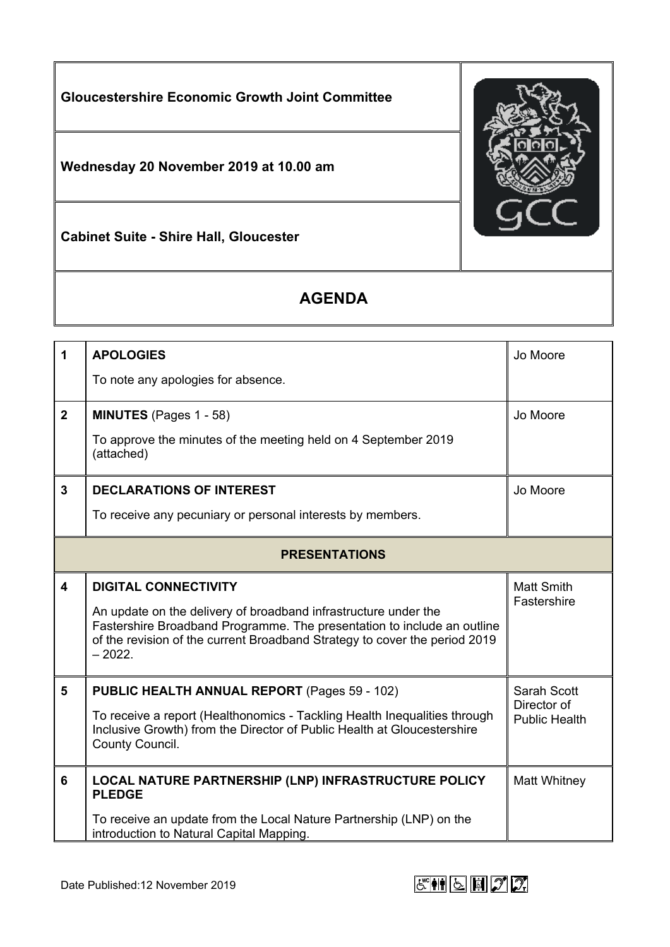

## **AGENDA**

| 1                       | <b>APOLOGIES</b>                                                                                                                                                                                                                     | Jo Moore                            |  |
|-------------------------|--------------------------------------------------------------------------------------------------------------------------------------------------------------------------------------------------------------------------------------|-------------------------------------|--|
|                         | To note any apologies for absence.                                                                                                                                                                                                   |                                     |  |
| $\overline{2}$          | <b>MINUTES</b> (Pages 1 - 58)                                                                                                                                                                                                        | Jo Moore                            |  |
|                         | To approve the minutes of the meeting held on 4 September 2019<br>(attached)                                                                                                                                                         |                                     |  |
| $\mathbf{3}$            | <b>DECLARATIONS OF INTEREST</b>                                                                                                                                                                                                      | Jo Moore                            |  |
|                         | To receive any pecuniary or personal interests by members.                                                                                                                                                                           |                                     |  |
| <b>PRESENTATIONS</b>    |                                                                                                                                                                                                                                      |                                     |  |
| $\overline{\mathbf{4}}$ | <b>DIGITAL CONNECTIVITY</b>                                                                                                                                                                                                          | <b>Matt Smith</b><br>Fastershire    |  |
|                         | An update on the delivery of broadband infrastructure under the<br>Fastershire Broadband Programme. The presentation to include an outline<br>of the revision of the current Broadband Strategy to cover the period 2019<br>$-2022.$ |                                     |  |
| 5                       | PUBLIC HEALTH ANNUAL REPORT (Pages 59 - 102)                                                                                                                                                                                         | Sarah Scott                         |  |
|                         | To receive a report (Healthonomics - Tackling Health Inequalities through<br>Inclusive Growth) from the Director of Public Health at Gloucestershire<br>County Council.                                                              | Director of<br><b>Public Health</b> |  |
| 6                       | LOCAL NATURE PARTNERSHIP (LNP) INFRASTRUCTURE POLICY<br><b>PLEDGE</b>                                                                                                                                                                | Matt Whitney                        |  |
|                         | To receive an update from the Local Nature Partnership (LNP) on the<br>introduction to Natural Capital Mapping.                                                                                                                      |                                     |  |

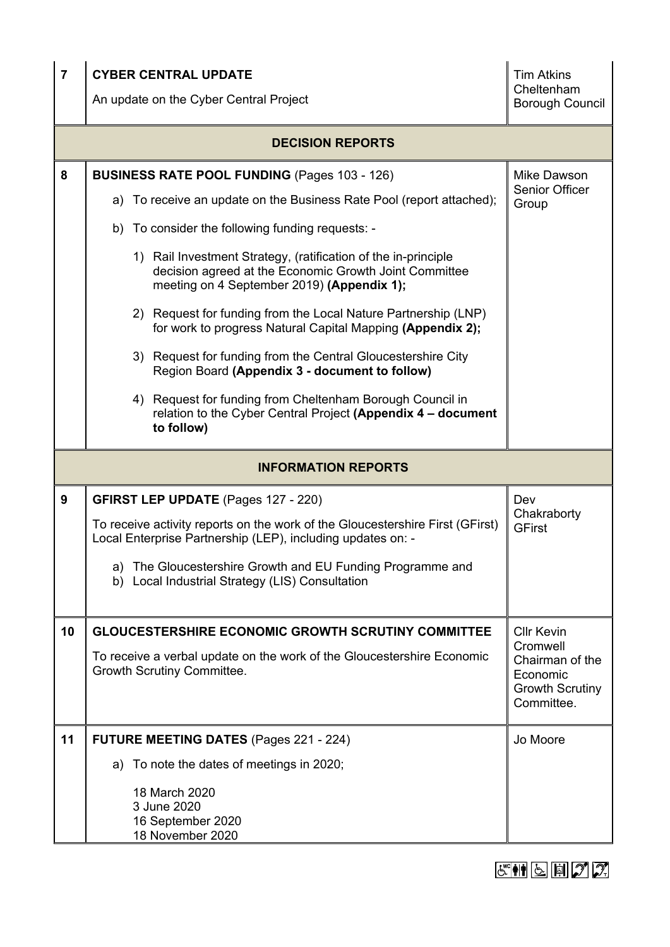| $\overline{7}$             | <b>CYBER CENTRAL UPDATE</b><br>An update on the Cyber Central Project                                                                                                  | <b>Tim Atkins</b><br>Cheltenham<br><b>Borough Council</b>                       |  |
|----------------------------|------------------------------------------------------------------------------------------------------------------------------------------------------------------------|---------------------------------------------------------------------------------|--|
| <b>DECISION REPORTS</b>    |                                                                                                                                                                        |                                                                                 |  |
| 8                          | <b>BUSINESS RATE POOL FUNDING (Pages 103 - 126)</b>                                                                                                                    | Mike Dawson<br>Senior Officer                                                   |  |
|                            | To receive an update on the Business Rate Pool (report attached);<br>a)                                                                                                | Group                                                                           |  |
|                            | b) To consider the following funding requests: -                                                                                                                       |                                                                                 |  |
|                            | 1) Rail Investment Strategy, (ratification of the in-principle<br>decision agreed at the Economic Growth Joint Committee<br>meeting on 4 September 2019) (Appendix 1); |                                                                                 |  |
|                            | 2) Request for funding from the Local Nature Partnership (LNP)<br>for work to progress Natural Capital Mapping (Appendix 2);                                           |                                                                                 |  |
|                            | 3) Request for funding from the Central Gloucestershire City<br>Region Board (Appendix 3 - document to follow)                                                         |                                                                                 |  |
|                            | 4) Request for funding from Cheltenham Borough Council in<br>relation to the Cyber Central Project (Appendix 4 - document<br>to follow)                                |                                                                                 |  |
| <b>INFORMATION REPORTS</b> |                                                                                                                                                                        |                                                                                 |  |
| 9                          | <b>GFIRST LEP UPDATE (Pages 127 - 220)</b>                                                                                                                             | Dev                                                                             |  |
|                            | To receive activity reports on the work of the Gloucestershire First (GFirst)<br>Local Enterprise Partnership (LEP), including updates on: -                           | Chakraborty<br><b>GFirst</b>                                                    |  |
|                            | a) The Gloucestershire Growth and EU Funding Programme and<br>b) Local Industrial Strategy (LIS) Consultation                                                          |                                                                                 |  |
| 10                         | <b>GLOUCESTERSHIRE ECONOMIC GROWTH SCRUTINY COMMITTEE</b>                                                                                                              | <b>Cllr Kevin</b>                                                               |  |
|                            | To receive a verbal update on the work of the Gloucestershire Economic<br>Growth Scrutiny Committee.                                                                   | Cromwell<br>Chairman of the<br>Economic<br><b>Growth Scrutiny</b><br>Committee. |  |
| 11                         | FUTURE MEETING DATES (Pages 221 - 224)                                                                                                                                 | Jo Moore                                                                        |  |
|                            | a) To note the dates of meetings in 2020;                                                                                                                              |                                                                                 |  |
|                            | 18 March 2020<br>3 June 2020<br>16 September 2020<br>18 November 2020                                                                                                  |                                                                                 |  |

 $E \cong \mathbb{N}$   $\boxed{5}$   $\boxed{7}$   $2$